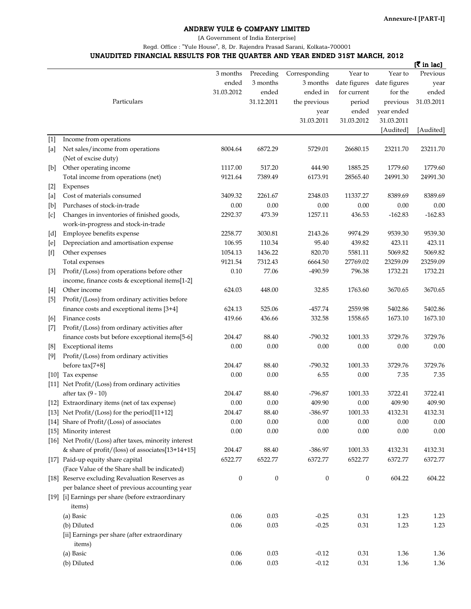## ANDREW YULE & COMPANY LIMITED

[A Government of India Enterprise]

Regd. Office : "Yule House", 8, Dr. Rajendra Prasad Sarani, Kolkata-700001

## UNAUDITED FINANCIAL RESULTS FOR THE QUARTER AND YEAR ENDED 31ST MARCH, 2012

|        |                                                       |                  |                  |                  |              |              | [रैं in lac] |
|--------|-------------------------------------------------------|------------------|------------------|------------------|--------------|--------------|--------------|
|        |                                                       | 3 months         | Preceding        | Corresponding    | Year to      | Year to      | Previous     |
|        |                                                       | ended            | 3 months         | 3 months         | date figures | date figures | year         |
|        |                                                       | 31.03.2012       | ended            | ended in         | for current  | for the      | ended        |
|        | Particulars                                           |                  | 31.12.2011       | the previous     | period       | previous     | 31.03.2011   |
|        |                                                       |                  |                  | year             | ended        | year ended   |              |
|        |                                                       |                  |                  | 31.03.2011       | 31.03.2012   | 31.03.2011   |              |
|        |                                                       |                  |                  |                  |              | [Audited]    | [Audited]    |
| $[1]$  | Income from operations                                |                  |                  |                  |              |              |              |
| [a]    | Net sales/income from operations                      | 8004.64          | 6872.29          | 5729.01          | 26680.15     | 23211.70     | 23211.70     |
|        | (Net of excise duty)                                  |                  |                  |                  |              |              |              |
| $[b]$  | Other operating income                                | 1117.00          | 517.20           | 444.90           | 1885.25      | 1779.60      | 1779.60      |
|        | Total income from operations (net)                    | 9121.64          | 7389.49          | 6173.91          | 28565.40     | 24991.30     | 24991.30     |
| $[2]$  | Expenses                                              |                  |                  |                  |              |              |              |
| [a]    | Cost of materials consumed                            | 3409.32          | 2261.67          | 2348.03          | 11337.27     | 8389.69      | 8389.69      |
| [b]    | Purchases of stock-in-trade                           | 0.00             | 0.00             | 0.00             | 0.00         | 0.00         | 0.00         |
| [c]    | Changes in inventories of finished goods,             | 2292.37          | 473.39           | 1257.11          | 436.53       | $-162.83$    | $-162.83$    |
|        | work-in-progress and stock-in-trade                   |                  |                  |                  |              |              |              |
| [d]    | Employee benefits expense                             | 2258.77          | 3030.81          | 2143.26          | 9974.29      | 9539.30      | 9539.30      |
| [e]    | Depreciation and amortisation expense                 | 106.95           | 110.34           | 95.40            | 439.82       | 423.11       | 423.11       |
| $[$ f] | Other expenses                                        | 1054.13          | 1436.22          | 820.70           | 5581.11      | 5069.82      | 5069.82      |
|        | Total expenses                                        | 9121.54          | 7312.43          | 6664.50          | 27769.02     | 23259.09     | 23259.09     |
| $[3]$  | Profit/(Loss) from operations before other            | 0.10             | 77.06            | -490.59          | 796.38       | 1732.21      | 1732.21      |
|        | income, finance costs & exceptional items[1-2]        |                  |                  |                  |              |              |              |
| $[4]$  | Other income                                          | 624.03           | 448.00           | 32.85            | 1763.60      | 3670.65      | 3670.65      |
| $[5]$  | Profit/(Loss) from ordinary activities before         |                  |                  |                  |              |              |              |
|        | finance costs and exceptional items [3+4]             | 624.13           | 525.06           | $-457.74$        | 2559.98      | 5402.86      | 5402.86      |
| [6]    | Finance costs                                         | 419.66           | 436.66           | 332.58           | 1558.65      | 1673.10      | 1673.10      |
| $[7]$  | Profit/(Loss) from ordinary activities after          |                  |                  |                  |              |              |              |
|        | finance costs but before exceptional items[5-6]       | 204.47           | 88.40            | $-790.32$        | 1001.33      | 3729.76      | 3729.76      |
| [8]    | Exceptional items                                     | 0.00             | 0.00             | 0.00             | 0.00         | 0.00         | 0.00         |
| [9]    | Profit/(Loss) from ordinary activities                |                  |                  |                  |              |              |              |
|        | before tax[7+8]                                       | 204.47           | 88.40            | $-790.32$        | 1001.33      | 3729.76      | 3729.76      |
|        | [10] Tax expense                                      | 0.00             | 0.00             | 6.55             | 0.00         | 7.35         | 7.35         |
|        | [11] Net Profit/(Loss) from ordinary activities       |                  |                  |                  |              |              |              |
|        | after tax $(9 - 10)$                                  | 204.47           | 88.40            | -796.87          | 1001.33      | 3722.41      | 3722.41      |
|        | [12] Extraordinary items (net of tax expense)         | 0.00             | 0.00             | 409.90           | 0.00         | 409.90       | 409.90       |
|        | [13] Net Profit/(Loss) for the period[11+12]          | 204.47           | 88.40            | $-386.97$        | 1001.33      | 4132.31      | 4132.31      |
|        | [14] Share of Profit/(Loss) of associates             | 0.00             | 0.00             | 0.00             | 0.00         | 0.00         | 0.00         |
|        | [15] Minority interest                                | $0.00\,$         | 0.00             | $0.00\,$         |              |              |              |
|        | [16] Net Profit/(Loss) after taxes, minority interest |                  |                  |                  | 0.00         | 0.00         | 0.00         |
|        |                                                       |                  |                  |                  |              |              |              |
|        | & share of profit/(loss) of associates[13+14+15]      | 204.47           | 88.40            | $-386.97$        | 1001.33      | 4132.31      | 4132.31      |
|        | [17] Paid-up equity share capital                     | 6522.77          | 6522.77          | 6372.77          | 6522.77      | 6372.77      | 6372.77      |
|        | (Face Value of the Share shall be indicated)          |                  |                  |                  |              |              |              |
|        | [18] Reserve excluding Revaluation Reserves as        | $\boldsymbol{0}$ | $\boldsymbol{0}$ | $\boldsymbol{0}$ | 0            | 604.22       | 604.22       |
|        | per balance sheet of previous accounting year         |                  |                  |                  |              |              |              |
|        | [19] [i] Earnings per share (before extraordinary     |                  |                  |                  |              |              |              |
|        | items)                                                |                  |                  |                  |              |              |              |
|        | (a) Basic                                             | 0.06             | 0.03             | $-0.25$          | $0.31\,$     | 1.23         | 1.23         |
|        | (b) Diluted                                           | $0.06\,$         | 0.03             | $-0.25$          | $0.31\,$     | 1.23         | 1.23         |
|        | [ii] Earnings per share (after extraordinary          |                  |                  |                  |              |              |              |
|        | items)                                                |                  |                  |                  |              |              |              |
|        | (a) Basic                                             | 0.06             | 0.03             | $-0.12$          | 0.31         | 1.36         | 1.36         |
|        | (b) Diluted                                           | 0.06             | 0.03             | $-0.12$          | $0.31\,$     | 1.36         | 1.36         |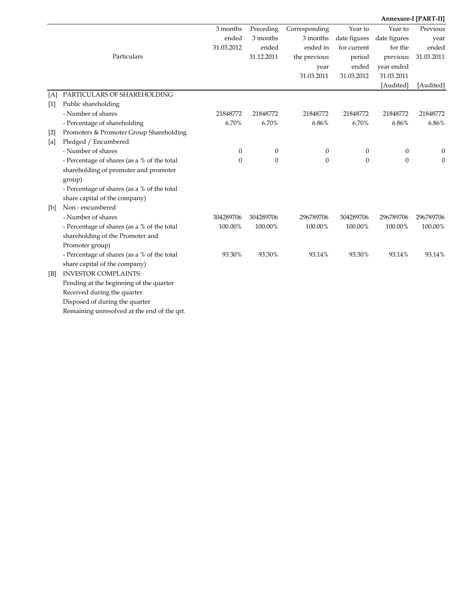|       |                                             |                  |                  |                  |                  |                  | Annexure-I [PART-II] |
|-------|---------------------------------------------|------------------|------------------|------------------|------------------|------------------|----------------------|
|       |                                             | 3 months         | Preceding        | Corresponding    | Year to          | Year to          | Previous             |
|       |                                             | ended            | 3 months         | 3 months         | date figures     | date figures     | year                 |
|       |                                             | 31.03.2012       | ended            | ended in         | for current      | for the          | ended                |
|       | Particulars                                 |                  | 31.12.2011       | the previous     | period           | previous         | 31.03.2011           |
|       |                                             |                  |                  | year             | ended            | year ended       |                      |
|       |                                             |                  |                  | 31.03.2011       | 31.03.2012       | 31.03.2011       |                      |
|       |                                             |                  |                  |                  |                  | [Audited]        | [Audited]            |
| [A]   | PARTICULARS OF SHAREHOLDING                 |                  |                  |                  |                  |                  |                      |
| $[1]$ | Public shareholding                         |                  |                  |                  |                  |                  |                      |
|       | - Number of shares                          | 21848772         | 21848772         | 21848772         | 21848772         | 21848772         | 21848772             |
|       | - Percentage of shareholding                | 6.70%            | 6.70%            | $6.86\%$         | 6.70%            | 6.86%            | 6.86%                |
| $[2]$ | Promoters & Promoter Group Shareholding     |                  |                  |                  |                  |                  |                      |
| [a]   | Pledged / Encumbered                        |                  |                  |                  |                  |                  |                      |
|       | - Number of shares                          | $\boldsymbol{0}$ | $\boldsymbol{0}$ | $\boldsymbol{0}$ | $\boldsymbol{0}$ | $\boldsymbol{0}$ | 0                    |
|       | - Percentage of shares (as a % of the total | $\mathbf{0}$     | $\mathbf{0}$     | $\theta$         | $\mathbf{0}$     | $\overline{0}$   | $\theta$             |
|       | shareholding of promoter and promoter       |                  |                  |                  |                  |                  |                      |
|       | group)                                      |                  |                  |                  |                  |                  |                      |
|       | - Percentage of shares (as a % of the total |                  |                  |                  |                  |                  |                      |
|       | share capital of the company)               |                  |                  |                  |                  |                  |                      |
| [b]   | Non - encumbered                            |                  |                  |                  |                  |                  |                      |
|       | - Number of shares                          | 304289706        | 304289706        | 296789706        | 304289706        | 296789706        | 296789706            |
|       | - Percentage of shares (as a % of the total | 100.00%          | 100.00%          | 100.00%          | 100.00%          | 100.00%          | 100.00%              |
|       | shareholding of the Promoter and            |                  |                  |                  |                  |                  |                      |
|       | Promoter group)                             |                  |                  |                  |                  |                  |                      |
|       | - Percentage of shares (as a % of the total | 93.30%           | 93.30%           | 93.14%           | 93.30%           | 93.14%           | 93.14%               |
|       | share capital of the company)               |                  |                  |                  |                  |                  |                      |
| [B]   | <b>INVESTOR COMPLAINTS</b>                  |                  |                  |                  |                  |                  |                      |
|       | Pending at the beginning of the quarter     |                  |                  |                  |                  |                  |                      |
|       | Received during the quarter                 |                  |                  |                  |                  |                  |                      |
|       | Disposed of during the quarter              |                  |                  |                  |                  |                  |                      |
|       | Remaining unresolved at the end of the qrt. |                  |                  |                  |                  |                  |                      |